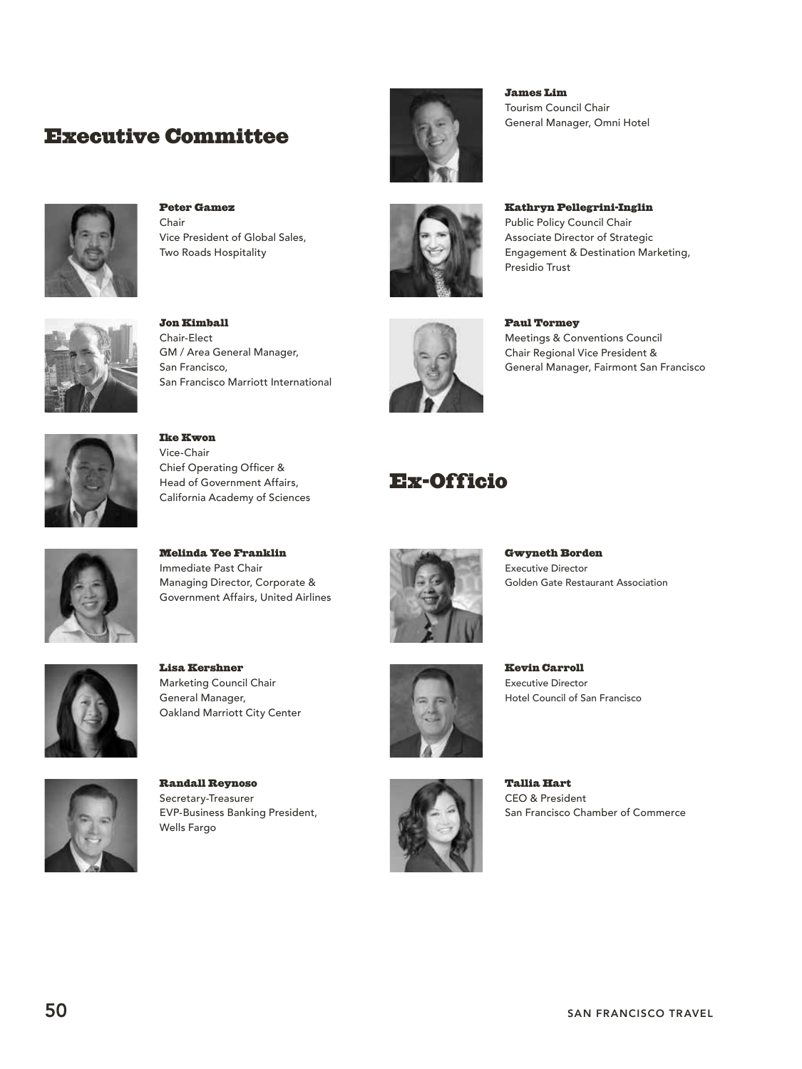## Executive Committee



Peter Gamez Chair Vice President of Global Sales, Two Roads Hospitality



Jon Kimball Chair-Elect GM / Area General Manager, San Francisco, San Francisco Marriott International

Ike Kwon Vice-Chair

Chief Operating Officer & Head of Government Affairs, California Academy of Sciences



James Lim Tourism Council Chair General Manager, Omni Hotel

Kathryn Pellegrini-Inglin Public Policy Council Chair Associate Director of Strategic Engagement & Destination Marketing, Presidio Trust



Paul Tormey Meetings & Conventions Council Chair Regional Vice President & General Manager, Fairmont San Francisco

## Ex-Officio



Melinda Yee Franklin Immediate Past Chair Managing Director, Corporate & Government Affairs, United Airlines



Gwyneth Borden Executive Director Golden Gate Restaurant Association

Hotel Council of San Francisco

Kevin Carroll Executive Director



Lisa Kershner Marketing Council Chair General Manager, Oakland Marriott City Center



Randall Reynoso Secretary-Treasurer EVP-Business Banking President, Wells Fargo





Tallia Hart CEO & President San Francisco Chamber of Commerce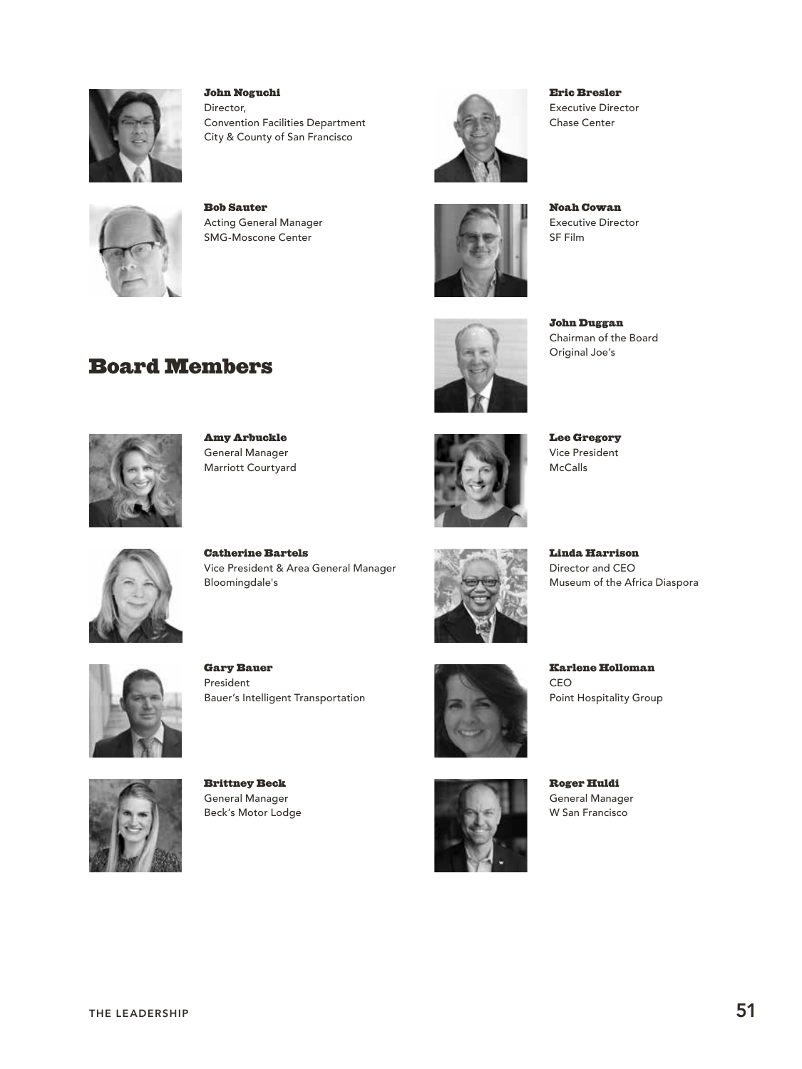

John Noguchi Director, Convention Facilities Department City & County of San Francisco



Board Members

Bob Sauter Acting General Manager SMG-Moscone Center



Eric Bresler Executive Director Chase Center



Noah Cowan Executive Director SF Film



John Duggan Chairman of the Board Original Joe's



Amy Arbuckle General Manager Marriott Courtyard



Lee Gregory Vice President McCalls



Catherine Bartels Vice President & Area General Manager Bloomingdale's



Linda Harrison Director and CEO Museum of the Africa Diaspora



Gary Bauer President Bauer's Intelligent Transportation



Brittney Beck General Manager Beck's Motor Lodge



Karlene Holloman CEO Point Hospitality Group

Roger Huldi General Manager W San Francisco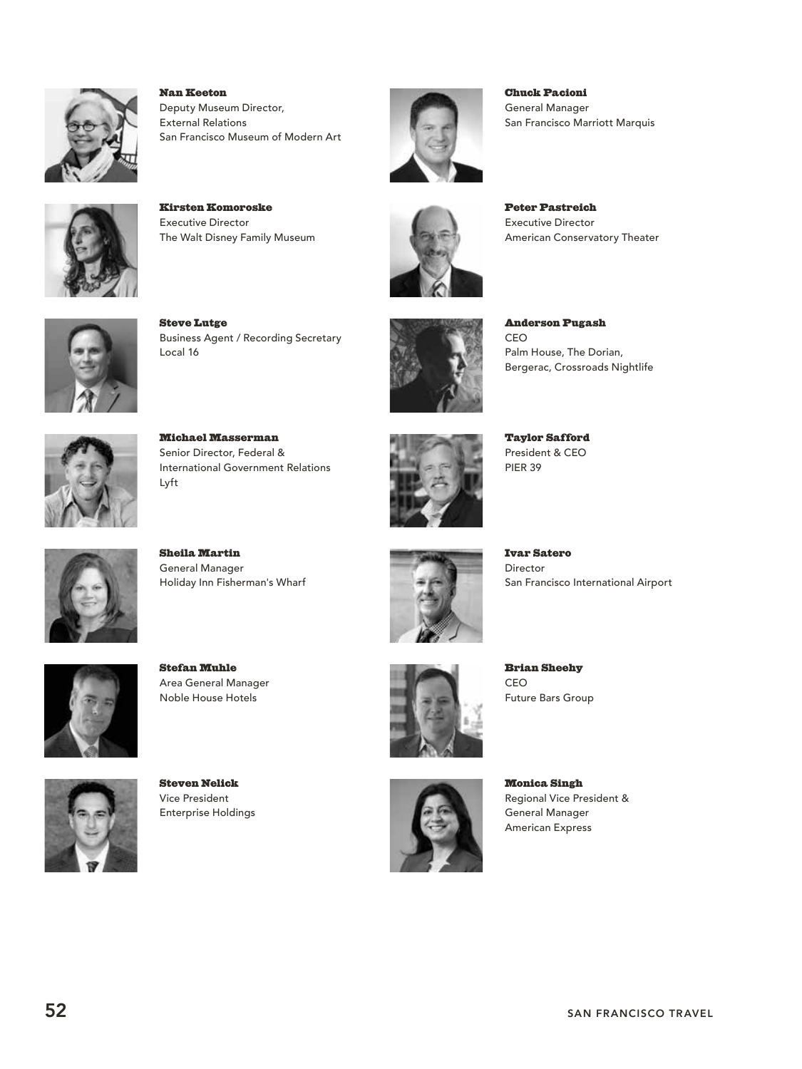

Nan Keeton Deputy Museum Director, External Relations San Francisco Museum of Modern Art



Kirsten Komoroske Executive Director The Walt Disney Family Museum



Chuck Pacioni General Manager San Francisco Marriott Marquis



Peter Pastreich Executive Director American Conservatory Theater



Steve Lutge Business Agent / Recording Secretary Local 16



Anderson Pugash CEO Palm House, The Dorian, Bergerac, Crossroads Nightlife



Michael Masserman Senior Director, Federal & International Government Relations Lyft



Taylor Safford President & CEO PIER 39



Sheila Martin General Manager Holiday Inn Fisherman's Wharf



Ivar Satero Director San Francisco International Airport



Stefan Muhle Area General Manager Noble House Hotels

Steven Nelick Vice President Enterprise Holdings



Brian Sheehy CEO Future Bars Group



Monica Singh Regional Vice President & General Manager American Express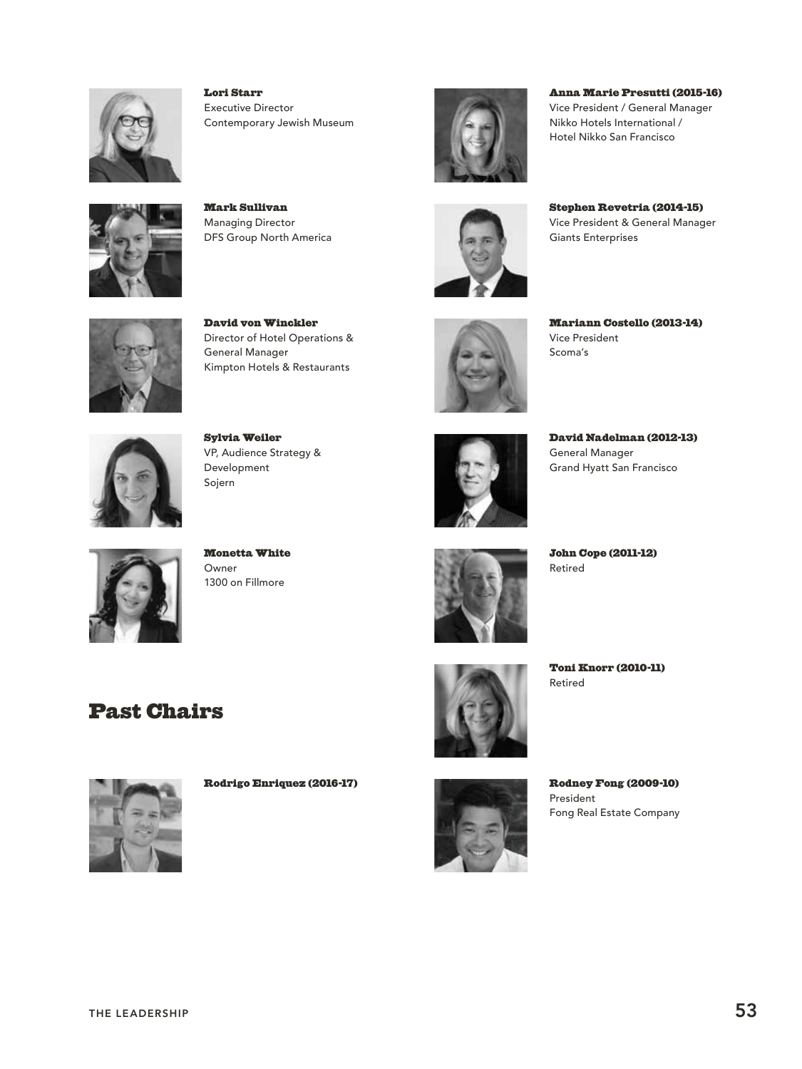

Lori Starr Executive Director Contemporary Jewish Museum



Mark Sullivan Managing Director DFS Group North America

David von Winckler

Kimpton Hotels & Restaurants

General Manager



Anna Marie Presutti (2015-16) Vice President / General Manager Nikko Hotels International / Hotel Nikko San Francisco



Stephen Revetria (2014-15) Vice President & General Manager Giants Enterprises



Mariann Costello (2013-14) Vice President Scoma's



Sylvia Weiler VP, Audience Strategy & Development Sojern



Monetta White Owner 1300 on Fillmore



David Nadelman (2012-13) General Manager Grand Hyatt San Francisco



John Cope (2011-12) Retired

## Past Chairs



Rodrigo Enriquez (2016-17)



Retired

Toni Knorr (2010-11)



Rodney Fong (2009-10) President Fong Real Estate Company